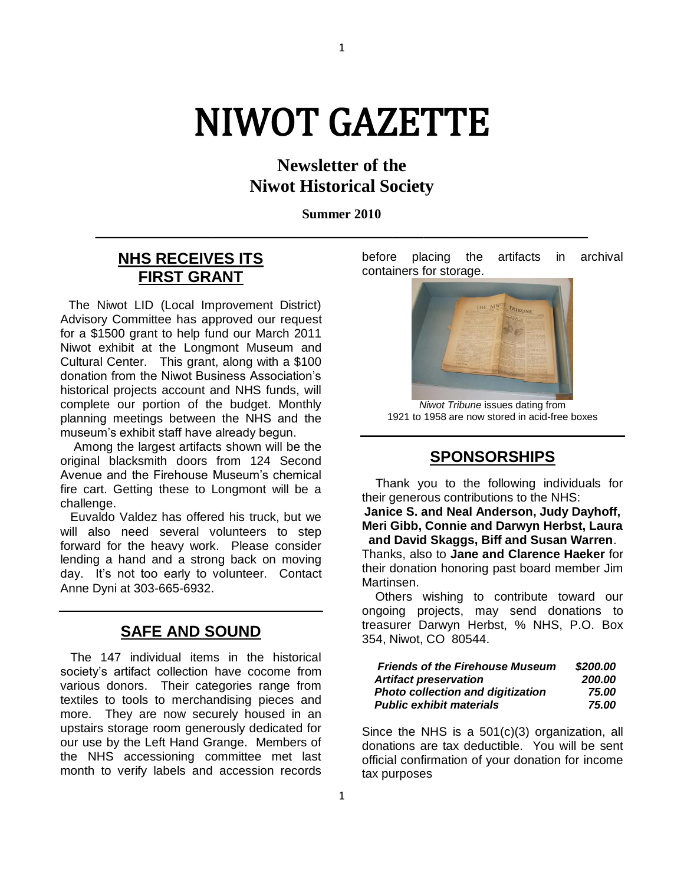# NIWOT GAZETTE

1

## **Newsletter of the Niwot Historical Society**

**Summer 2010 \_\_\_\_\_\_\_\_\_\_\_\_\_\_\_\_\_\_\_\_\_\_\_\_\_\_\_\_\_\_\_\_\_\_\_\_\_\_\_\_\_\_\_\_\_\_\_\_\_\_\_\_\_\_\_\_\_\_\_\_\_\_\_**

## **NHS RECEIVES ITS FIRST GRANT**

 The Niwot LID (Local Improvement District) Advisory Committee has approved our request for a \$1500 grant to help fund our March 2011 Niwot exhibit at the Longmont Museum and Cultural Center. This grant, along with a \$100 donation from the Niwot Business Association's historical projects account and NHS funds, will complete our portion of the budget. Monthly planning meetings between the NHS and the museum's exhibit staff have already begun.

 Among the largest artifacts shown will be the original blacksmith doors from 124 Second Avenue and the Firehouse Museum's chemical fire cart. Getting these to Longmont will be a challenge.

 Euvaldo Valdez has offered his truck, but we will also need several volunteers to step forward for the heavy work. Please consider lending a hand and a strong back on moving day. It's not too early to volunteer. Contact Anne Dyni at 303-665-6932.

## **SAFE AND SOUND**

 The 147 individual items in the historical society's artifact collection have cocome from various donors. Their categories range from textiles to tools to merchandising pieces and more. They are now securely housed in an upstairs storage room generously dedicated for our use by the Left Hand Grange. Members of the NHS accessioning committee met last month to verify labels and accession records

before placing the artifacts in archival containers for storage.



*Niwot Tribune* issues dating from 1921 to 1958 are now stored in acid-free boxes

## **SPONSORSHIPS**

 Thank you to the following individuals for their generous contributions to the NHS:

**Janice S. and Neal Anderson, Judy Dayhoff, Meri Gibb, Connie and Darwyn Herbst, Laura and David Skaggs, Biff and Susan Warren**.

Thanks, also to **Jane and Clarence Haeker** for their donation honoring past board member Jim Martinsen.

 Others wishing to contribute toward our ongoing projects, may send donations to treasurer Darwyn Herbst, % NHS, P.O. Box 354, Niwot, CO 80544.

| <b>Friends of the Firehouse Museum</b> | \$200.00 |
|----------------------------------------|----------|
| <b>Artifact preservation</b>           | 200.00   |
| Photo collection and digitization      | 75.00    |
| <b>Public exhibit materials</b>        | 75.00    |

Since the NHS is a 501(c)(3) organization, all donations are tax deductible. You will be sent official confirmation of your donation for income tax purposes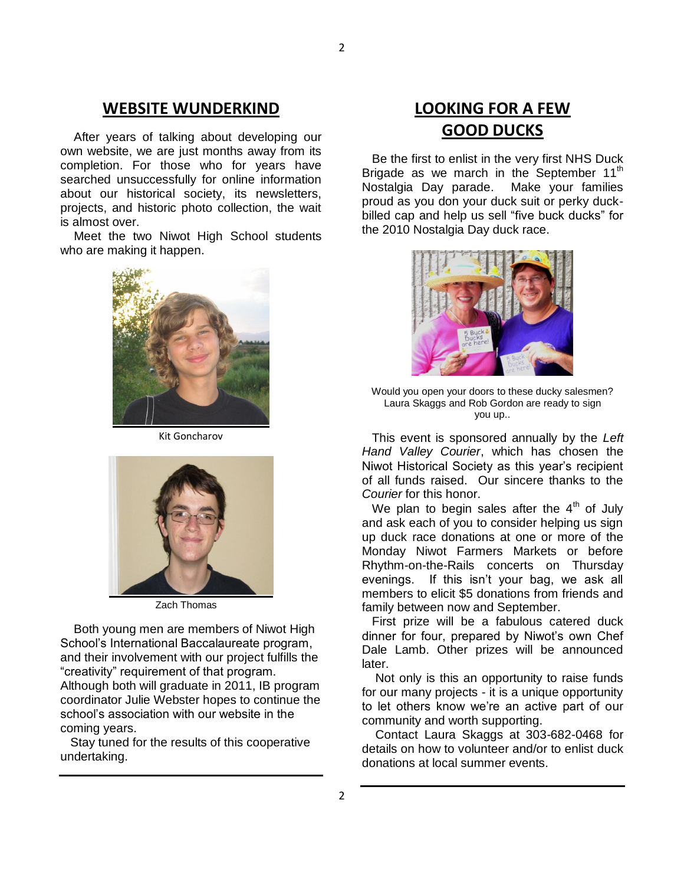#### **WEBSITE WUNDERKIND**

 After years of talking about developing our own website, we are just months away from its completion. For those who for years have searched unsuccessfully for online information about our historical society, its newsletters, projects, and historic photo collection, the wait is almost over.

 Meet the two Niwot High School students who are making it happen.



Kit Goncharov



Zach Thomas

 Both young men are members of Niwot High School's International Baccalaureate program, and their involvement with our project fulfills the "creativity" requirement of that program. Although both will graduate in 2011, IB program coordinator Julie Webster hopes to continue the school's association with our website in the coming years.

 Stay tuned for the results of this cooperative undertaking.

## **LOOKING FOR A FEW GOOD DUCKS**

 Be the first to enlist in the very first NHS Duck Brigade as we march in the September 11<sup>th</sup> Nostalgia Day parade. Make your families proud as you don your duck suit or perky duckbilled cap and help us sell "five buck ducks" for the 2010 Nostalgia Day duck race.



Would you open your doors to these ducky salesmen? Laura Skaggs and Rob Gordon are ready to sign you up..

 This event is sponsored annually by the *Left Hand Valley Courier*, which has chosen the Niwot Historical Society as this year's recipient of all funds raised. Our sincere thanks to the *Courier* for this honor.

We plan to begin sales after the  $4<sup>th</sup>$  of July and ask each of you to consider helping us sign up duck race donations at one or more of the Monday Niwot Farmers Markets or before Rhythm-on-the-Rails concerts on Thursday evenings. If this isn't your bag, we ask all members to elicit \$5 donations from friends and family between now and September.

 First prize will be a fabulous catered duck dinner for four, prepared by Niwot's own Chef Dale Lamb. Other prizes will be announced later.

 Not only is this an opportunity to raise funds for our many projects - it is a unique opportunity to let others know we're an active part of our community and worth supporting.

 Contact Laura Skaggs at 303-682-0468 for details on how to volunteer and/or to enlist duck donations at local summer events.